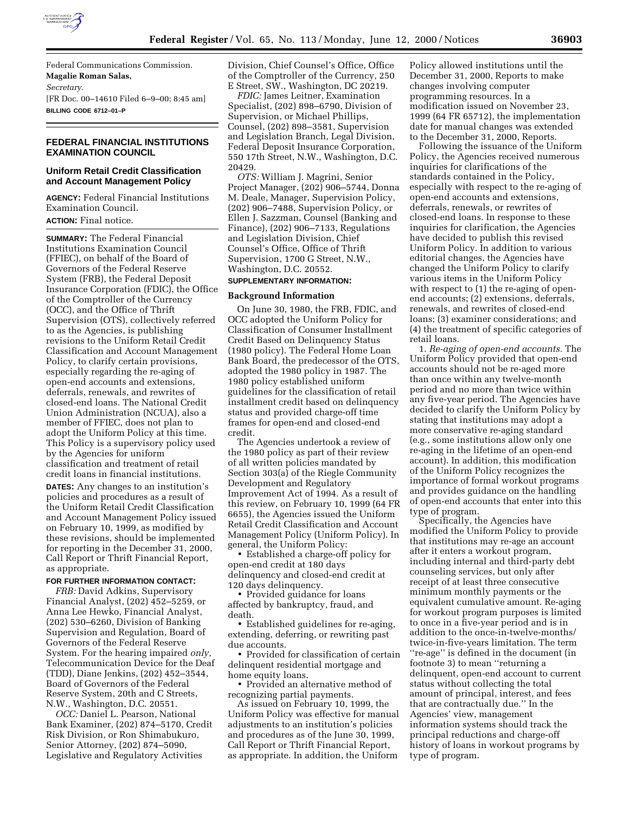

Federal Communications Commission. **Magalie Roman Salas,** *Secretary.* [FR Doc. 00–14610 Filed 6–9–00; 8:45 am] **BILLING CODE 6712–01–P**

# **FEDERAL FINANCIAL INSTITUTIONS EXAMINATION COUNCIL**

# **Uniform Retail Credit Classification and Account Management Policy**

**AGENCY:** Federal Financial Institutions Examination Council. **ACTION:** Final notice.

**SUMMARY:** The Federal Financial Institutions Examination Council (FFIEC), on behalf of the Board of Governors of the Federal Reserve System (FRB), the Federal Deposit Insurance Corporation (FDIC), the Office of the Comptroller of the Currency (OCC), and the Office of Thrift Supervision (OTS), collectively referred to as the Agencies, is publishing revisions to the Uniform Retail Credit Classification and Account Management Policy, to clarify certain provisions, especially regarding the re-aging of open-end accounts and extensions, deferrals, renewals, and rewrites of closed-end loans. The National Credit Union Administration (NCUA), also a member of FFIEC, does not plan to adopt the Uniform Policy at this time. This Policy is a supervisory policy used by the Agencies for uniform classification and treatment of retail credit loans in financial institutions.

**DATES:** Any changes to an institution's policies and procedures as a result of the Uniform Retail Credit Classification and Account Management Policy issued on February 10, 1999, as modified by these revisions, should be implemented for reporting in the December 31, 2000, Call Report or Thrift Financial Report, as appropriate.

# **FOR FURTHER INFORMATION CONTACT:**

*FRB:* David Adkins, Supervisory Financial Analyst, (202) 452–5259, or Anna Lee Hewko, Financial Analyst, (202) 530–6260, Division of Banking Supervision and Regulation, Board of Governors of the Federal Reserve System. For the hearing impaired *only,* Telecommunication Device for the Deaf (TDD), Diane Jenkins, (202) 452–3544, Board of Governors of the Federal Reserve System, 20th and C Streets, N.W., Washington, D.C. 20551.

*OCC:* Daniel L. Pearson, National Bank Examiner, (202) 874–5170, Credit Risk Division, or Ron Shimabukuro, Senior Attorney, (202) 874–5090, Legislative and Regulatory Activities

Division, Chief Counsel's Office, Office of the Comptroller of the Currency, 250 E Street, SW., Washington, DC 20219.

*FDIC:* James Leitner, Examination Specialist, (202) 898–6790, Division of Supervision, or Michael Phillips, Counsel, (202) 898–3581, Supervision and Legislation Branch, Legal Division, Federal Deposit Insurance Corporation, 550 17th Street, N.W., Washington, D.C. 20429.

*OTS:* William J. Magrini, Senior Project Manager, (202) 906–5744, Donna M. Deale, Manager, Supervision Policy, (202) 906–7488, Supervision Policy, or Ellen J. Sazzman, Counsel (Banking and Finance), (202) 906–7133, Regulations and Legislation Division, Chief Counsel's Office, Office of Thrift Supervision, 1700 G Street, N.W., Washington, D.C. 20552.

# **SUPPLEMENTARY INFORMATION:**

#### **Background Information**

On June 30, 1980, the FRB, FDIC, and OCC adopted the Uniform Policy for Classification of Consumer Installment Credit Based on Delinquency Status (1980 policy). The Federal Home Loan Bank Board, the predecessor of the OTS, adopted the 1980 policy in 1987. The 1980 policy established uniform guidelines for the classification of retail installment credit based on delinquency status and provided charge-off time frames for open-end and closed-end credit.

The Agencies undertook a review of the 1980 policy as part of their review of all written policies mandated by Section 303(a) of the Riegle Community Development and Regulatory Improvement Act of 1994. As a result of this review, on February 10, 1999 (64 FR 6655), the Agencies issued the Uniform Retail Credit Classification and Account Management Policy (Uniform Policy). In general, the Uniform Policy:

• Established a charge-off policy for open-end credit at 180 days delinquency and closed-end credit at 120 days delinquency.

• Provided guidance for loans affected by bankruptcy, fraud, and death.

• Established guidelines for re-aging, extending, deferring, or rewriting past due accounts.

• Provided for classification of certain delinquent residential mortgage and home equity loans.

• Provided an alternative method of recognizing partial payments.

As issued on February 10, 1999, the Uniform Policy was effective for manual adjustments to an institution's policies and procedures as of the June 30, 1999, Call Report or Thrift Financial Report, as appropriate. In addition, the Uniform

Policy allowed institutions until the December 31, 2000, Reports to make changes involving computer programming resources. In a modification issued on November 23, 1999 (64 FR 65712), the implementation date for manual changes was extended to the December 31, 2000, Reports.

Following the issuance of the Uniform Policy, the Agencies received numerous inquiries for clarifications of the standards contained in the Policy, especially with respect to the re-aging of open-end accounts and extensions, deferrals, renewals, or rewrites of closed-end loans. In response to these inquiries for clarification, the Agencies have decided to publish this revised Uniform Policy. In addition to various editorial changes, the Agencies have changed the Uniform Policy to clarify various items in the Uniform Policy with respect to (1) the re-aging of openend accounts; (2) extensions, deferrals, renewals, and rewrites of closed-end loans; (3) examiner considerations; and (4) the treatment of specific categories of retail loans.

1. *Re-aging of open-end accounts.* The Uniform Policy provided that open-end accounts should not be re-aged more than once within any twelve-month period and no more than twice within any five-year period. The Agencies have decided to clarify the Uniform Policy by stating that institutions may adopt a more conservative re-aging standard (e.g., some institutions allow only one re-aging in the lifetime of an open-end account). In addition, this modification of the Uniform Policy recognizes the importance of formal workout programs and provides guidance on the handling of open-end accounts that enter into this type of program.

Specifically, the Agencies have modified the Uniform Policy to provide that institutions may re-age an account after it enters a workout program, including internal and third-party debt counseling services, but only after receipt of at least three consecutive minimum monthly payments or the equivalent cumulative amount. Re-aging for workout program purposes is limited to once in a five-year period and is in addition to the once-in-twelve-months/ twice-in-five-years limitation. The term ''re-age'' is defined in the document (in footnote 3) to mean ''returning a delinquent, open-end account to current status without collecting the total amount of principal, interest, and fees that are contractually due.'' In the Agencies' view, management information systems should track the principal reductions and charge-off history of loans in workout programs by type of program.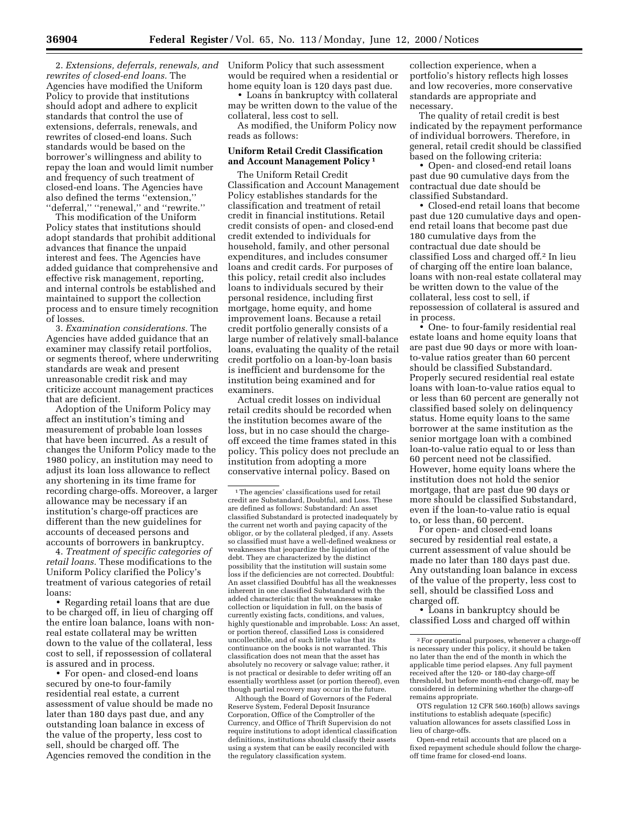2. *Extensions, deferrals, renewals, and rewrites of closed-end loans.* The Agencies have modified the Uniform Policy to provide that institutions should adopt and adhere to explicit standards that control the use of extensions, deferrals, renewals, and rewrites of closed-end loans. Such standards would be based on the borrower's willingness and ability to repay the loan and would limit number and frequency of such treatment of closed-end loans. The Agencies have also defined the terms ''extension,'' ''deferral,'' ''renewal,'' and ''rewrite.''

This modification of the Uniform Policy states that institutions should adopt standards that prohibit additional advances that finance the unpaid interest and fees. The Agencies have added guidance that comprehensive and effective risk management, reporting, and internal controls be established and maintained to support the collection process and to ensure timely recognition of losses.

3. *Examination considerations.* The Agencies have added guidance that an examiner may classify retail portfolios, or segments thereof, where underwriting standards are weak and present unreasonable credit risk and may criticize account management practices that are deficient.

Adoption of the Uniform Policy may affect an institution's timing and measurement of probable loan losses that have been incurred. As a result of changes the Uniform Policy made to the 1980 policy, an institution may need to adjust its loan loss allowance to reflect any shortening in its time frame for recording charge-offs. Moreover, a larger allowance may be necessary if an institution's charge-off practices are different than the new guidelines for accounts of deceased persons and accounts of borrowers in bankruptcy.

4. *Treatment of specific categories of retail loans.* These modifications to the Uniform Policy clarified the Policy's treatment of various categories of retail loans:

• Regarding retail loans that are due to be charged off, in lieu of charging off the entire loan balance, loans with nonreal estate collateral may be written down to the value of the collateral, less cost to sell, if repossession of collateral is assured and in process.

• For open- and closed-end loans secured by one-to four-family residential real estate, a current assessment of value should be made no later than 180 days past due, and any outstanding loan balance in excess of the value of the property, less cost to sell, should be charged off. The Agencies removed the condition in the

Uniform Policy that such assessment would be required when a residential or home equity loan is 120 days past due.

• Loans in bankruptcy with collateral may be written down to the value of the collateral, less cost to sell.

As modified, the Uniform Policy now reads as follows:

# **Uniform Retail Credit Classification and Account Management Policy 1**

The Uniform Retail Credit Classification and Account Management Policy establishes standards for the classification and treatment of retail credit in financial institutions. Retail credit consists of open- and closed-end credit extended to individuals for household, family, and other personal expenditures, and includes consumer loans and credit cards. For purposes of this policy, retail credit also includes loans to individuals secured by their personal residence, including first mortgage, home equity, and home improvement loans. Because a retail credit portfolio generally consists of a large number of relatively small-balance loans, evaluating the quality of the retail credit portfolio on a loan-by-loan basis is inefficient and burdensome for the institution being examined and for examiners.

Actual credit losses on individual retail credits should be recorded when the institution becomes aware of the loss, but in no case should the chargeoff exceed the time frames stated in this policy. This policy does not preclude an institution from adopting a more conservative internal policy. Based on

Although the Board of Governors of the Federal Reserve System, Federal Deposit Insurance Corporation, Office of the Comptroller of the Currency, and Office of Thrift Supervision do not require institutions to adopt identical classification definitions, institutions should classify their assets using a system that can be easily reconciled with the regulatory classification system.

collection experience, when a portfolio's history reflects high losses and low recoveries, more conservative standards are appropriate and necessary.

The quality of retail credit is best indicated by the repayment performance of individual borrowers. Therefore, in general, retail credit should be classified based on the following criteria:

• Open- and closed-end retail loans past due 90 cumulative days from the contractual due date should be classified Substandard.

• Closed-end retail loans that become past due 120 cumulative days and openend retail loans that become past due 180 cumulative days from the contractual due date should be classified Loss and charged off.2 In lieu of charging off the entire loan balance, loans with non-real estate collateral may be written down to the value of the collateral, less cost to sell, if repossession of collateral is assured and in process.

• One- to four-family residential real estate loans and home equity loans that are past due 90 days or more with loanto-value ratios greater than 60 percent should be classified Substandard. Properly secured residential real estate loans with loan-to-value ratios equal to or less than 60 percent are generally not classified based solely on delinquency status. Home equity loans to the same borrower at the same institution as the senior mortgage loan with a combined loan-to-value ratio equal to or less than 60 percent need not be classified. However, home equity loans where the institution does not hold the senior mortgage, that are past due 90 days or more should be classified Substandard, even if the loan-to-value ratio is equal to, or less than, 60 percent.

For open- and closed-end loans secured by residential real estate, a current assessment of value should be made no later than 180 days past due. Any outstanding loan balance in excess of the value of the property, less cost to sell, should be classified Loss and charged off.

• Loans in bankruptcy should be classified Loss and charged off within

Open-end retail accounts that are placed on a fixed repayment schedule should follow the chargeoff time frame for closed-end loans.

<sup>1</sup>The agencies' classifications used for retail credit are Substandard, Doubtful, and Loss. These are defined as follows: Substandard: An asset classified Substandard is protected inadequately by the current net worth and paying capacity of the obligor, or by the collateral pledged, if any. Assets so classified must have a well-defined weakness or weaknesses that jeopardize the liquidation of the debt. They are characterized by the distinct possibility that the institution will sustain some loss if the deficiencies are not corrected. Doubtful: An asset classified Doubtful has all the weaknesses inherent in one classified Substandard with the added characteristic that the weaknesses make collection or liquidation in full, on the basis of currently existing facts, conditions, and values, highly questionable and improbable. Loss: An asset, or portion thereof, classified Loss is considered uncollectible, and of such little value that its continuance on the books is not warranted. This classification does not mean that the asset has absolutely no recovery or salvage value; rather, it is not practical or desirable to defer writing off an essentially worthless asset (or portion thereof), even though partial recovery may occur in the future.

 $\,{}^2$  For operational purposes, whenever a charge-off is necessary under this policy, it should be taken no later than the end of the month in which the applicable time period elapses. Any full payment received after the 120- or 180-day charge-off threshold, but before month-end charge-off, may be considered in determining whether the charge-off remains appropriate.

OTS regulation 12 CFR 560.160(b) allows savings institutions to establish adequate (specific) valuation allowances for assets classified Loss in lieu of charge-offs.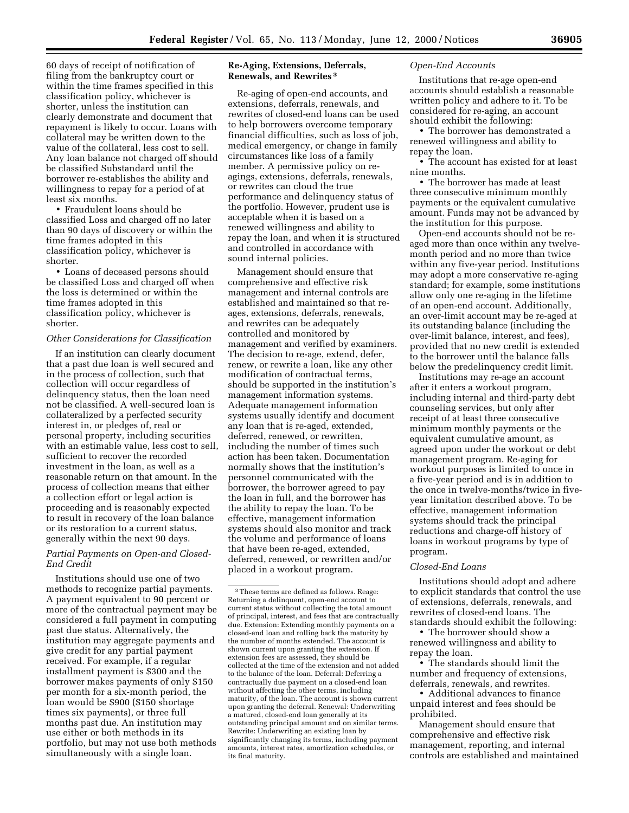60 days of receipt of notification of filing from the bankruptcy court or within the time frames specified in this classification policy, whichever is shorter, unless the institution can clearly demonstrate and document that repayment is likely to occur. Loans with collateral may be written down to the value of the collateral, less cost to sell. Any loan balance not charged off should be classified Substandard until the borrower re-establishes the ability and willingness to repay for a period of at least six months.

• Fraudulent loans should be classified Loss and charged off no later than 90 days of discovery or within the time frames adopted in this classification policy, whichever is shorter.

• Loans of deceased persons should be classified Loss and charged off when the loss is determined or within the time frames adopted in this classification policy, whichever is shorter.

## *Other Considerations for Classification*

If an institution can clearly document that a past due loan is well secured and in the process of collection, such that collection will occur regardless of delinquency status, then the loan need not be classified. A well-secured loan is collateralized by a perfected security interest in, or pledges of, real or personal property, including securities with an estimable value, less cost to sell, sufficient to recover the recorded investment in the loan, as well as a reasonable return on that amount. In the process of collection means that either a collection effort or legal action is proceeding and is reasonably expected to result in recovery of the loan balance or its restoration to a current status, generally within the next 90 days.

# *Partial Payments on Open-and Closed-End Credit*

Institutions should use one of two methods to recognize partial payments. A payment equivalent to 90 percent or more of the contractual payment may be considered a full payment in computing past due status. Alternatively, the institution may aggregate payments and give credit for any partial payment received. For example, if a regular installment payment is \$300 and the borrower makes payments of only \$150 per month for a six-month period, the loan would be \$900 (\$150 shortage times six payments), or three full months past due. An institution may use either or both methods in its portfolio, but may not use both methods simultaneously with a single loan.

# **Re-Aging, Extensions, Deferrals, Renewals, and Rewrites 3**

Re-aging of open-end accounts, and extensions, deferrals, renewals, and rewrites of closed-end loans can be used to help borrowers overcome temporary financial difficulties, such as loss of job, medical emergency, or change in family circumstances like loss of a family member. A permissive policy on reagings, extensions, deferrals, renewals, or rewrites can cloud the true performance and delinquency status of the portfolio. However, prudent use is acceptable when it is based on a renewed willingness and ability to repay the loan, and when it is structured and controlled in accordance with sound internal policies.

Management should ensure that comprehensive and effective risk management and internal controls are established and maintained so that reages, extensions, deferrals, renewals, and rewrites can be adequately controlled and monitored by management and verified by examiners. The decision to re-age, extend, defer, renew, or rewrite a loan, like any other modification of contractual terms, should be supported in the institution's management information systems. Adequate management information systems usually identify and document any loan that is re-aged, extended, deferred, renewed, or rewritten, including the number of times such action has been taken. Documentation normally shows that the institution's personnel communicated with the borrower, the borrower agreed to pay the loan in full, and the borrower has the ability to repay the loan. To be effective, management information systems should also monitor and track the volume and performance of loans that have been re-aged, extended, deferred, renewed, or rewritten and/or placed in a workout program.

### *Open-End Accounts*

Institutions that re-age open-end accounts should establish a reasonable written policy and adhere to it. To be considered for re-aging, an account should exhibit the following:

• The borrower has demonstrated a renewed willingness and ability to repay the loan.

• The account has existed for at least nine months.

• The borrower has made at least three consecutive minimum monthly payments or the equivalent cumulative amount. Funds may not be advanced by the institution for this purpose.

Open-end accounts should not be reaged more than once within any twelvemonth period and no more than twice within any five-year period. Institutions may adopt a more conservative re-aging standard; for example, some institutions allow only one re-aging in the lifetime of an open-end account. Additionally, an over-limit account may be re-aged at its outstanding balance (including the over-limit balance, interest, and fees), provided that no new credit is extended to the borrower until the balance falls below the predelinquency credit limit.

Institutions may re-age an account after it enters a workout program, including internal and third-party debt counseling services, but only after receipt of at least three consecutive minimum monthly payments or the equivalent cumulative amount, as agreed upon under the workout or debt management program. Re-aging for workout purposes is limited to once in a five-year period and is in addition to the once in twelve-months/twice in fiveyear limitation described above. To be effective, management information systems should track the principal reductions and charge-off history of loans in workout programs by type of program.

### *Closed-End Loans*

Institutions should adopt and adhere to explicit standards that control the use of extensions, deferrals, renewals, and rewrites of closed-end loans. The standards should exhibit the following:

• The borrower should show a renewed willingness and ability to repay the loan.

• The standards should limit the number and frequency of extensions, deferrals, renewals, and rewrites.

• Additional advances to finance unpaid interest and fees should be prohibited.

Management should ensure that comprehensive and effective risk management, reporting, and internal controls are established and maintained

<sup>3</sup>These terms are defined as follows. Reage: Returning a delinquent, open-end account to current status without collecting the total amount of principal, interest, and fees that are contractually due. Extension: Extending monthly payments on a closed-end loan and rolling back the maturity by the number of months extended. The account is shown current upon granting the extension. If extension fees are assessed, they should be collected at the time of the extension and not added to the balance of the loan. Deferral: Deferring a contractually due payment on a closed-end loan without affecting the other terms, including maturity, of the loan. The account is shown current upon granting the deferral. Renewal: Underwriting a matured, closed-end loan generally at its outstanding principal amount and on similar terms. Rewrite: Underwriting an existing loan by significantly changing its terms, including payment amounts, interest rates, amortization schedules, or its final maturity.